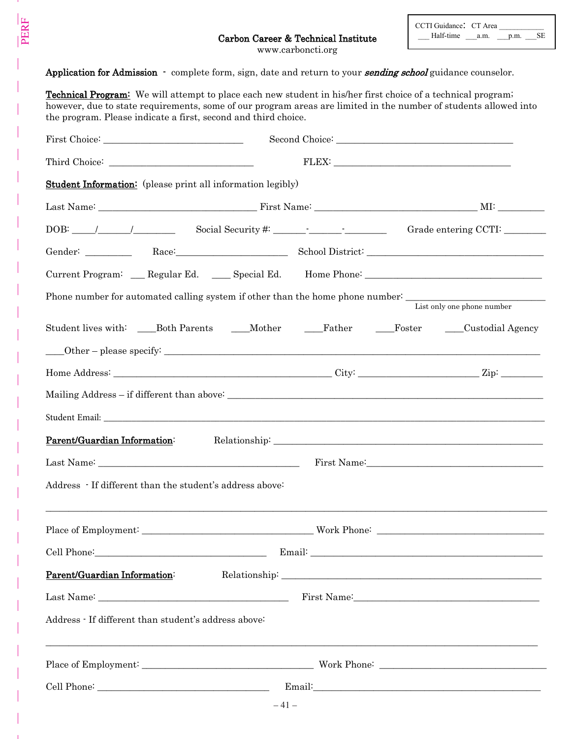www.carboncti.org

Application for Admission - complete form, sign, date and return to your sending school guidance counselor.

PERF

| <b>Technical Program:</b> We will attempt to place each new student in his/her first choice of a technical program;<br>the program. Please indicate a first, second and third choice. | however, due to state requirements, some of our program areas are limited in the number of students allowed into |  |
|---------------------------------------------------------------------------------------------------------------------------------------------------------------------------------------|------------------------------------------------------------------------------------------------------------------|--|
|                                                                                                                                                                                       |                                                                                                                  |  |
|                                                                                                                                                                                       | ${\rm FLEX}\text{:}\_$                                                                                           |  |
| <b>Student Information:</b> (please print all information legibly)                                                                                                                    |                                                                                                                  |  |
|                                                                                                                                                                                       |                                                                                                                  |  |
|                                                                                                                                                                                       | Grade entering CCTI: ______                                                                                      |  |
|                                                                                                                                                                                       | Gender: Race: Race: School District: Campbell and School District:                                               |  |
|                                                                                                                                                                                       | Current Program: __ Regular Ed. ___ Special Ed. Home Phone: _____________________                                |  |
| Phone number for automated calling system if other than the home phone number: _______________________________<br>List only one phone number                                          |                                                                                                                  |  |
|                                                                                                                                                                                       | Student lives with: _____Both Parents ______Mother _______Father _______Foster ______Custodial Agency            |  |
|                                                                                                                                                                                       |                                                                                                                  |  |
|                                                                                                                                                                                       |                                                                                                                  |  |
|                                                                                                                                                                                       |                                                                                                                  |  |
|                                                                                                                                                                                       |                                                                                                                  |  |
| Parent/Guardian Information:                                                                                                                                                          |                                                                                                                  |  |
|                                                                                                                                                                                       | First Name: 1988 Manual Manual Manual Manual Manual Manual Manual Manual Manual Manual Manual Manual Manual Ma   |  |
| Address - If different than the student's address above:                                                                                                                              |                                                                                                                  |  |
|                                                                                                                                                                                       |                                                                                                                  |  |
|                                                                                                                                                                                       |                                                                                                                  |  |
| Parent/Guardian Information:                                                                                                                                                          |                                                                                                                  |  |
|                                                                                                                                                                                       |                                                                                                                  |  |
| Address - If different than student's address above:<br>,我们也不能在这里的人,我们也不能在这里的人,我们也不能在这里的人,我们也不能在这里的人,我们也不能在这里的人,我们也不能在这里的人,我们也不能在这里的人,我们也                                             |                                                                                                                  |  |
|                                                                                                                                                                                       |                                                                                                                  |  |
|                                                                                                                                                                                       |                                                                                                                  |  |
| $-41-$                                                                                                                                                                                |                                                                                                                  |  |